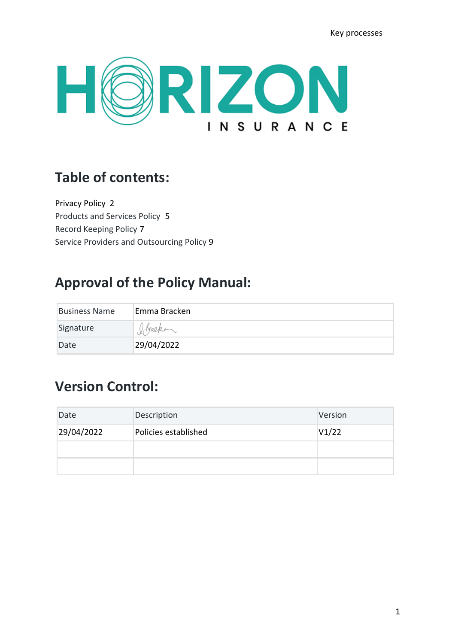Key processes



# **Table of contents:**

Privacy Policy 2 Products and Services Policy 5 Record Keeping Policy 7 Service Providers and Outsourcing Policy 9

# **Approval of the Policy Manual:**

| <b>Business Name</b> | Emma Bracken |
|----------------------|--------------|
| Signature            | O Bracke     |
| Date                 | 29/04/2022   |

## **Version Control:**

| Date       | Description          | Version |
|------------|----------------------|---------|
| 29/04/2022 | Policies established | V1/22   |
|            |                      |         |
|            |                      |         |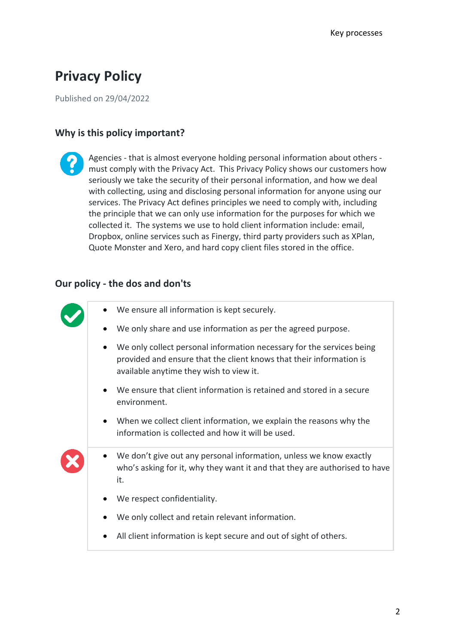# **Privacy Policy**

Published on 29/04/2022

### **Why is this policy important?**

Agencies - that is almost everyone holding personal information about others must comply with the Privacy Act. This Privacy Policy shows our customers how seriously we take the security of their personal information, and how we deal with collecting, using and disclosing personal information for anyone using our services. The Privacy Act defines principles we need to comply with, including the principle that we can only use information for the purposes for which we collected it. The systems we use to hold client information include: email, Dropbox, online services such as Finergy, third party providers such as XPlan, Quote Monster and Xero, and hard copy client files stored in the office.

### **Our policy - the dos and don'ts**

| We ensure all information is kept securely.                                                                                                                                             |
|-----------------------------------------------------------------------------------------------------------------------------------------------------------------------------------------|
| We only share and use information as per the agreed purpose.                                                                                                                            |
| We only collect personal information necessary for the services being<br>provided and ensure that the client knows that their information is<br>available anytime they wish to view it. |
| We ensure that client information is retained and stored in a secure<br>environment.                                                                                                    |
| When we collect client information, we explain the reasons why the<br>information is collected and how it will be used.                                                                 |
| We don't give out any personal information, unless we know exactly<br>who's asking for it, why they want it and that they are authorised to have<br>it.                                 |
| We respect confidentiality.                                                                                                                                                             |
| We only collect and retain relevant information.                                                                                                                                        |
| All client information is kept secure and out of sight of others.                                                                                                                       |
|                                                                                                                                                                                         |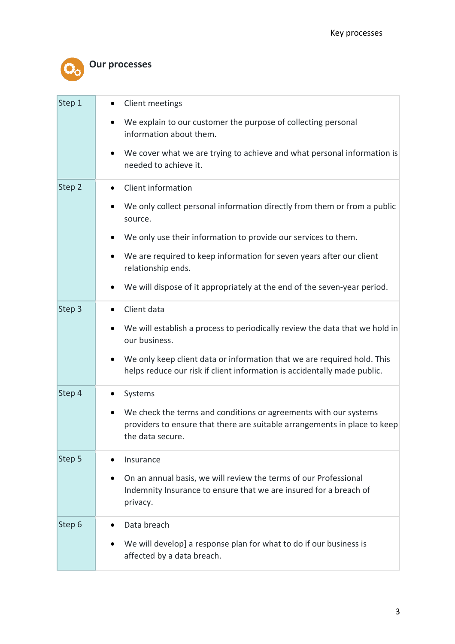

## **Our processes**

| Step 1 | Client meetings                                                                                                                                                                |
|--------|--------------------------------------------------------------------------------------------------------------------------------------------------------------------------------|
|        | We explain to our customer the purpose of collecting personal<br>$\bullet$<br>information about them.                                                                          |
|        | We cover what we are trying to achieve and what personal information is<br>٠<br>needed to achieve it.                                                                          |
| Step 2 | Client information<br>$\bullet$                                                                                                                                                |
|        | We only collect personal information directly from them or from a public<br>$\bullet$<br>source.                                                                               |
|        | We only use their information to provide our services to them.                                                                                                                 |
|        | We are required to keep information for seven years after our client<br>relationship ends.                                                                                     |
|        | We will dispose of it appropriately at the end of the seven-year period.                                                                                                       |
| Step 3 | Client data                                                                                                                                                                    |
|        | We will establish a process to periodically review the data that we hold in<br>our business.                                                                                   |
|        | We only keep client data or information that we are required hold. This<br>helps reduce our risk if client information is accidentally made public.                            |
| Step 4 | Systems<br>$\bullet$                                                                                                                                                           |
|        | We check the terms and conditions or agreements with our systems<br>$\bullet$<br>providers to ensure that there are suitable arrangements in place to keep<br>the data secure. |
| Step 5 | Insurance<br>$\bullet$                                                                                                                                                         |
|        | On an annual basis, we will review the terms of our Professional<br>$\bullet$<br>Indemnity Insurance to ensure that we are insured for a breach of<br>privacy.                 |
| Step 6 | Data breach<br>$\bullet$                                                                                                                                                       |
|        | We will develop] a response plan for what to do if our business is<br>affected by a data breach.                                                                               |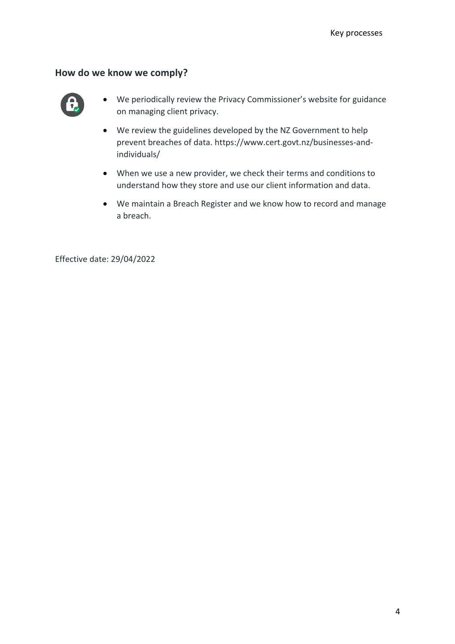#### **How do we know we comply?**



- We periodically review the Privacy Commissioner's website for guidance on managing client privacy.
- We review the guidelines developed by the NZ Government to help prevent breaches of data. https://www.cert.govt.nz/businesses-andindividuals/
- When we use a new provider, we check their terms and conditions to understand how they store and use our client information and data.
- We maintain a Breach Register and we know how to record and manage a breach.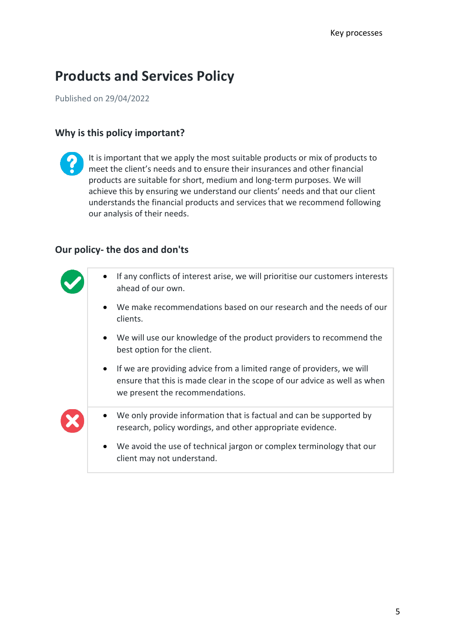# **Products and Services Policy**

Published on 29/04/2022

### **Why is this policy important?**

It is important that we apply the most suitable products or mix of products to meet the client's needs and to ensure their insurances and other financial products are suitable for short, medium and long-term purposes. We will achieve this by ensuring we understand our clients' needs and that our client understands the financial products and services that we recommend following our analysis of their needs.

### **Our policy- the dos and don'ts**

| If any conflicts of interest arise, we will prioritise our customers interests<br>ahead of our own.                                                                                                |
|----------------------------------------------------------------------------------------------------------------------------------------------------------------------------------------------------|
| We make recommendations based on our research and the needs of our<br>clients.                                                                                                                     |
| We will use our knowledge of the product providers to recommend the<br>best option for the client.                                                                                                 |
| If we are providing advice from a limited range of providers, we will<br>$\bullet$<br>ensure that this is made clear in the scope of our advice as well as when<br>we present the recommendations. |
| We only provide information that is factual and can be supported by<br>$\bullet$<br>research, policy wordings, and other appropriate evidence.                                                     |
| We avoid the use of technical jargon or complex terminology that our<br>$\bullet$<br>client may not understand.                                                                                    |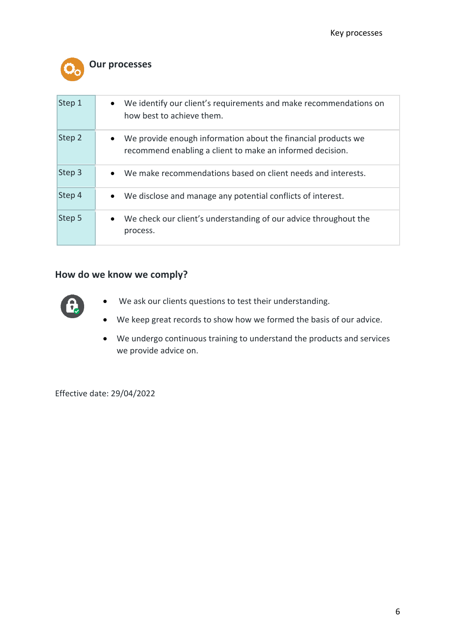

### **Our processes**

| Step 1 | We identify our client's requirements and make recommendations on<br>$\bullet$<br>how best to achieve them.                             |
|--------|-----------------------------------------------------------------------------------------------------------------------------------------|
| Step 2 | We provide enough information about the financial products we<br>$\bullet$<br>recommend enabling a client to make an informed decision. |
| Step 3 | We make recommendations based on client needs and interests.<br>$\bullet$                                                               |
| Step 4 | We disclose and manage any potential conflicts of interest.<br>$\bullet$                                                                |
| Step 5 | We check our client's understanding of our advice throughout the<br>$\bullet$<br>process.                                               |

### **How do we know we comply?**



- We ask our clients questions to test their understanding.
- We keep great records to show how we formed the basis of our advice.
- We undergo continuous training to understand the products and services we provide advice on.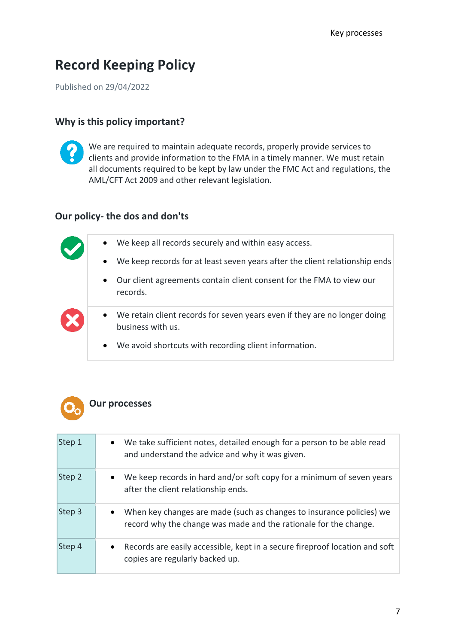## **Record Keeping Policy**

Published on 29/04/2022

#### **Why is this policy important?**



We are required to maintain adequate records, properly provide services to clients and provide information to the FMA in a timely manner. We must retain all documents required to be kept by law under the FMC Act and regulations, the AML/CFT Act 2009 and other relevant legislation.

#### **Our policy- the dos and don'ts**

|          | $\bullet$ | We keep all records securely and within easy access.                                           |
|----------|-----------|------------------------------------------------------------------------------------------------|
|          | $\bullet$ | We keep records for at least seven years after the client relationship ends                    |
|          | $\bullet$ | Our client agreements contain client consent for the FMA to view our<br>records.               |
| $\infty$ | $\bullet$ | We retain client records for seven years even if they are no longer doing<br>business with us. |
|          |           | • We avoid shortcuts with recording client information.                                        |



| Step 1 | We take sufficient notes, detailed enough for a person to be able read<br>$\bullet$<br>and understand the advice and why it was given.                |
|--------|-------------------------------------------------------------------------------------------------------------------------------------------------------|
| Step 2 | We keep records in hard and/or soft copy for a minimum of seven years<br>$\bullet$<br>after the client relationship ends.                             |
| Step 3 | When key changes are made (such as changes to insurance policies) we<br>$\bullet$<br>record why the change was made and the rationale for the change. |
| Step 4 | Records are easily accessible, kept in a secure fireproof location and soft<br>$\bullet$<br>copies are regularly backed up.                           |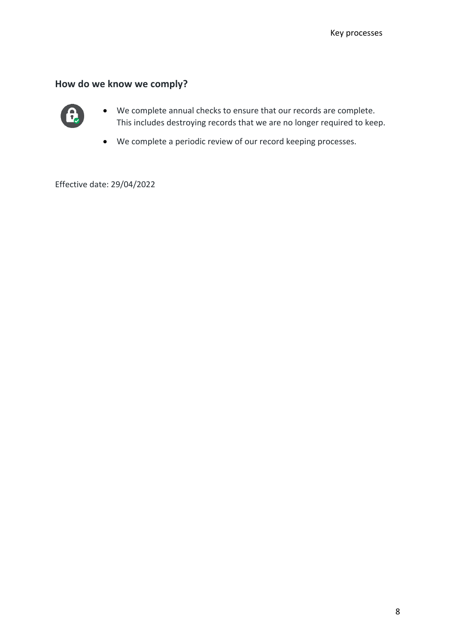## **How do we know we comply?**



- We complete annual checks to ensure that our records are complete. This includes destroying records that we are no longer required to keep.
- We complete a periodic review of our record keeping processes.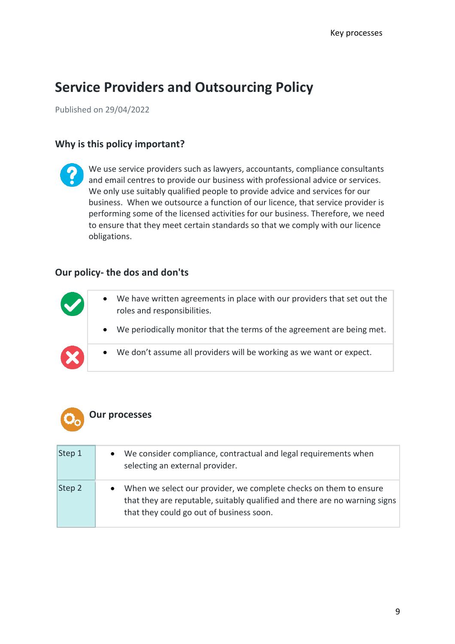## **Service Providers and Outsourcing Policy**

Published on 29/04/2022

### **Why is this policy important?**

We use service providers such as lawyers, accountants, compliance consultants and email centres to provide our business with professional advice or services. We only use suitably qualified people to provide advice and services for our business. When we outsource a function of our licence, that service provider is performing some of the licensed activities for our business. Therefore, we need to ensure that they meet certain standards so that we comply with our licence obligations.

#### **Our policy- the dos and don'ts**

|          | $\bullet$ | We have written agreements in place with our providers that set out the<br>roles and responsibilities. |
|----------|-----------|--------------------------------------------------------------------------------------------------------|
|          |           | We periodically monitor that the terms of the agreement are being met.                                 |
| $\infty$ |           | We don't assume all providers will be working as we want or expect.                                    |



| Step 1 | We consider compliance, contractual and legal requirements when<br>selecting an external provider.                                                                                          |
|--------|---------------------------------------------------------------------------------------------------------------------------------------------------------------------------------------------|
| Step 2 | When we select our provider, we complete checks on them to ensure<br>that they are reputable, suitably qualified and there are no warning signs<br>that they could go out of business soon. |